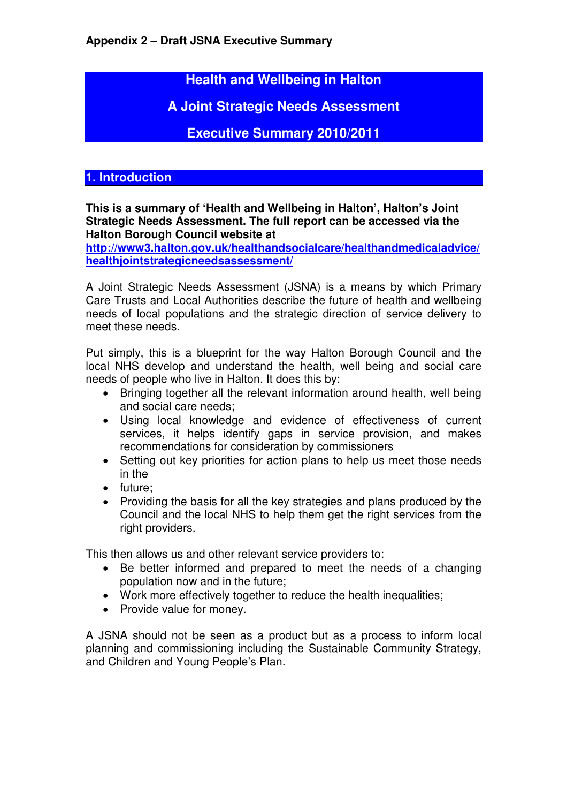**Health and Wellbeing in Halton** 

**A Joint Strategic Needs Assessment** 

**Executive Summary 2010/2011** 

# **1. Introduction**

**This is a summary of 'Health and Wellbeing in Halton', Halton's Joint Strategic Needs Assessment. The full report can be accessed via the Halton Borough Council website at**

**http://www3.halton.gov.uk/healthandsocialcare/healthandmedicaladvice/ healthjointstrategicneedsassessment/**

A Joint Strategic Needs Assessment (JSNA) is a means by which Primary Care Trusts and Local Authorities describe the future of health and wellbeing needs of local populations and the strategic direction of service delivery to meet these needs.

Put simply, this is a blueprint for the way Halton Borough Council and the local NHS develop and understand the health, well being and social care needs of people who live in Halton. It does this by:

- Bringing together all the relevant information around health, well being and social care needs;
- Using local knowledge and evidence of effectiveness of current services, it helps identify gaps in service provision, and makes recommendations for consideration by commissioners
- Setting out key priorities for action plans to help us meet those needs in the
- future;
- Providing the basis for all the key strategies and plans produced by the Council and the local NHS to help them get the right services from the right providers.

This then allows us and other relevant service providers to:

- Be better informed and prepared to meet the needs of a changing population now and in the future;
- Work more effectively together to reduce the health inequalities;
- Provide value for money.

A JSNA should not be seen as a product but as a process to inform local planning and commissioning including the Sustainable Community Strategy, and Children and Young People's Plan.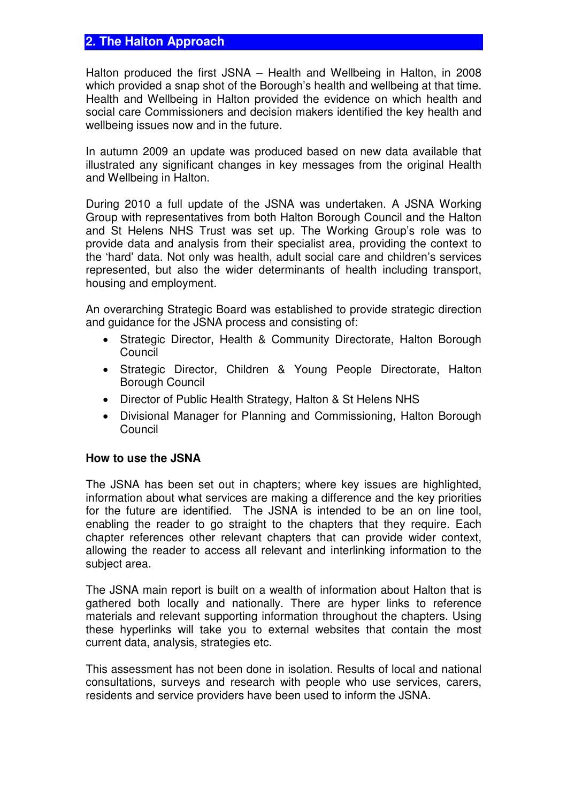## **2. The Halton Approach**

Halton produced the first JSNA – Health and Wellbeing in Halton, in 2008 which provided a snap shot of the Borough's health and wellbeing at that time. Health and Wellbeing in Halton provided the evidence on which health and social care Commissioners and decision makers identified the key health and wellbeing issues now and in the future.

In autumn 2009 an update was produced based on new data available that illustrated any significant changes in key messages from the original Health and Wellbeing in Halton.

During 2010 a full update of the JSNA was undertaken. A JSNA Working Group with representatives from both Halton Borough Council and the Halton and St Helens NHS Trust was set up. The Working Group's role was to provide data and analysis from their specialist area, providing the context to the 'hard' data. Not only was health, adult social care and children's services represented, but also the wider determinants of health including transport, housing and employment.

An overarching Strategic Board was established to provide strategic direction and guidance for the JSNA process and consisting of:

- Strategic Director, Health & Community Directorate, Halton Borough Council
- Strategic Director, Children & Young People Directorate, Halton Borough Council
- Director of Public Health Strategy, Halton & St Helens NHS
- Divisional Manager for Planning and Commissioning, Halton Borough **Council**

#### **How to use the JSNA**

The JSNA has been set out in chapters; where key issues are highlighted, information about what services are making a difference and the key priorities for the future are identified. The JSNA is intended to be an on line tool, enabling the reader to go straight to the chapters that they require. Each chapter references other relevant chapters that can provide wider context, allowing the reader to access all relevant and interlinking information to the subject area.

The JSNA main report is built on a wealth of information about Halton that is gathered both locally and nationally. There are hyper links to reference materials and relevant supporting information throughout the chapters. Using these hyperlinks will take you to external websites that contain the most current data, analysis, strategies etc.

This assessment has not been done in isolation. Results of local and national consultations, surveys and research with people who use services, carers, residents and service providers have been used to inform the JSNA.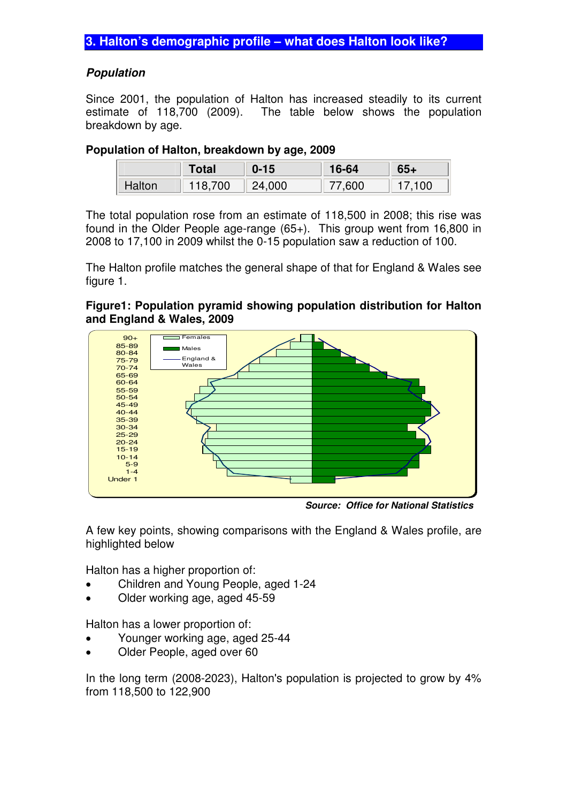#### **Population**

Since 2001, the population of Halton has increased steadily to its current estimate of 118,700 (2009). The table below shows the population breakdown by age.

#### **Population of Halton, breakdown by age, 2009**

|        | <b>Total</b> | $0 - 15$ | 16-64 | $65 +$ |
|--------|--------------|----------|-------|--------|
| Halton | 118,700      | 24,000   | 7.600 | 17.100 |

The total population rose from an estimate of 118,500 in 2008; this rise was found in the Older People age-range (65+). This group went from 16,800 in 2008 to 17,100 in 2009 whilst the 0-15 population saw a reduction of 100.

The Halton profile matches the general shape of that for England & Wales see figure 1.

#### **Figure1: Population pyramid showing population distribution for Halton and England & Wales, 2009**



**Source: Office for National Statistics** 

A few key points, showing comparisons with the England & Wales profile, are highlighted below

Halton has a higher proportion of:

- Children and Young People, aged 1-24
- Older working age, aged 45-59

Halton has a lower proportion of:

- Younger working age, aged 25-44
- Older People, aged over 60

In the long term (2008-2023), Halton's population is projected to grow by 4% from 118,500 to 122,900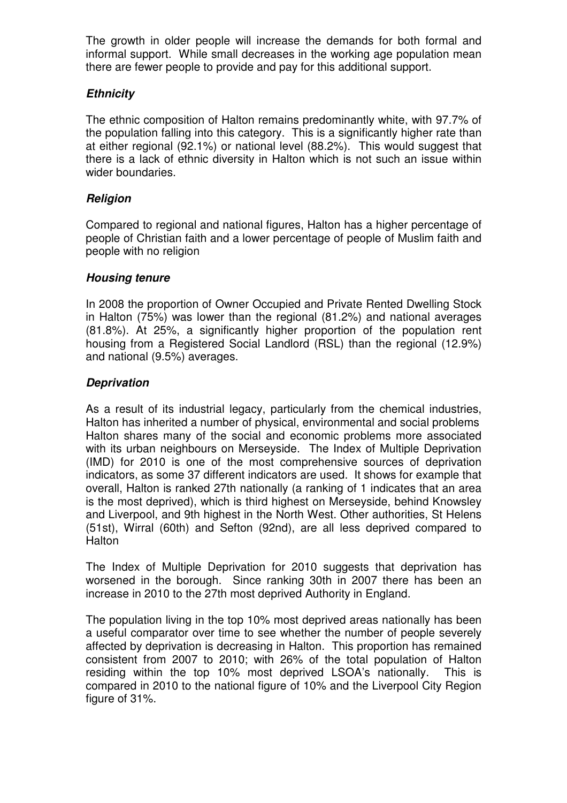The growth in older people will increase the demands for both formal and informal support. While small decreases in the working age population mean there are fewer people to provide and pay for this additional support.

## **Ethnicity**

The ethnic composition of Halton remains predominantly white, with 97.7% of the population falling into this category. This is a significantly higher rate than at either regional (92.1%) or national level (88.2%). This would suggest that there is a lack of ethnic diversity in Halton which is not such an issue within wider boundaries.

## **Religion**

Compared to regional and national figures, Halton has a higher percentage of people of Christian faith and a lower percentage of people of Muslim faith and people with no religion

## **Housing tenure**

In 2008 the proportion of Owner Occupied and Private Rented Dwelling Stock in Halton (75%) was lower than the regional (81.2%) and national averages (81.8%). At 25%, a significantly higher proportion of the population rent housing from a Registered Social Landlord (RSL) than the regional (12.9%) and national (9.5%) averages.

## **Deprivation**

As a result of its industrial legacy, particularly from the chemical industries, Halton has inherited a number of physical, environmental and social problems Halton shares many of the social and economic problems more associated with its urban neighbours on Merseyside. The Index of Multiple Deprivation (IMD) for 2010 is one of the most comprehensive sources of deprivation indicators, as some 37 different indicators are used. It shows for example that overall, Halton is ranked 27th nationally (a ranking of 1 indicates that an area is the most deprived), which is third highest on Merseyside, behind Knowsley and Liverpool, and 9th highest in the North West. Other authorities, St Helens (51st), Wirral (60th) and Sefton (92nd), are all less deprived compared to Halton

The Index of Multiple Deprivation for 2010 suggests that deprivation has worsened in the borough. Since ranking 30th in 2007 there has been an increase in 2010 to the 27th most deprived Authority in England.

The population living in the top 10% most deprived areas nationally has been a useful comparator over time to see whether the number of people severely affected by deprivation is decreasing in Halton. This proportion has remained consistent from 2007 to 2010; with 26% of the total population of Halton residing within the top 10% most deprived LSOA's nationally. This is compared in 2010 to the national figure of 10% and the Liverpool City Region figure of 31%.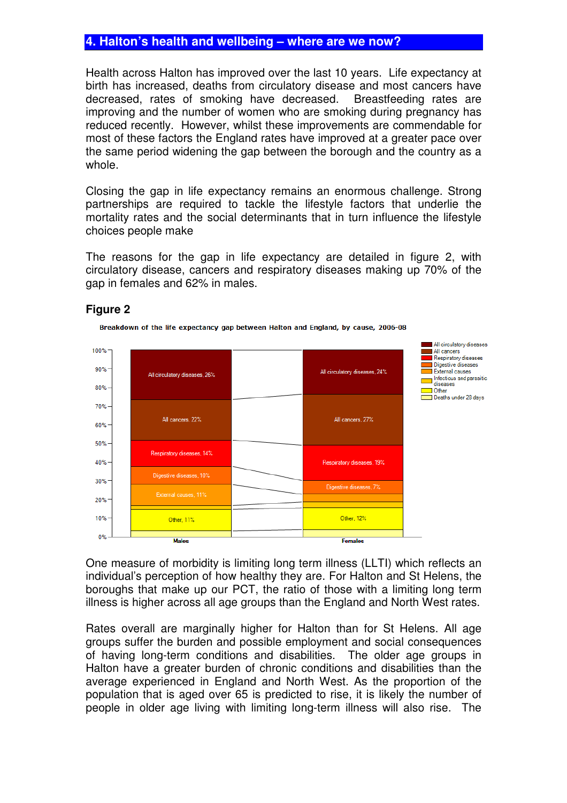# **4. Halton's health and wellbeing – where are we now?**

Health across Halton has improved over the last 10 years. Life expectancy at birth has increased, deaths from circulatory disease and most cancers have decreased, rates of smoking have decreased. Breastfeeding rates are improving and the number of women who are smoking during pregnancy has reduced recently. However, whilst these improvements are commendable for most of these factors the England rates have improved at a greater pace over the same period widening the gap between the borough and the country as a whole.

Closing the gap in life expectancy remains an enormous challenge. Strong partnerships are required to tackle the lifestyle factors that underlie the mortality rates and the social determinants that in turn influence the lifestyle choices people make

The reasons for the gap in life expectancy are detailed in figure 2, with circulatory disease, cancers and respiratory diseases making up 70% of the gap in females and 62% in males.





Breakdown of the life expectancy gap between Halton and England, by cause, 2006-08

One measure of morbidity is limiting long term illness (LLTI) which reflects an individual's perception of how healthy they are. For Halton and St Helens, the boroughs that make up our PCT, the ratio of those with a limiting long term illness is higher across all age groups than the England and North West rates.

Rates overall are marginally higher for Halton than for St Helens. All age groups suffer the burden and possible employment and social consequences of having long-term conditions and disabilities. The older age groups in Halton have a greater burden of chronic conditions and disabilities than the average experienced in England and North West. As the proportion of the population that is aged over 65 is predicted to rise, it is likely the number of people in older age living with limiting long-term illness will also rise. The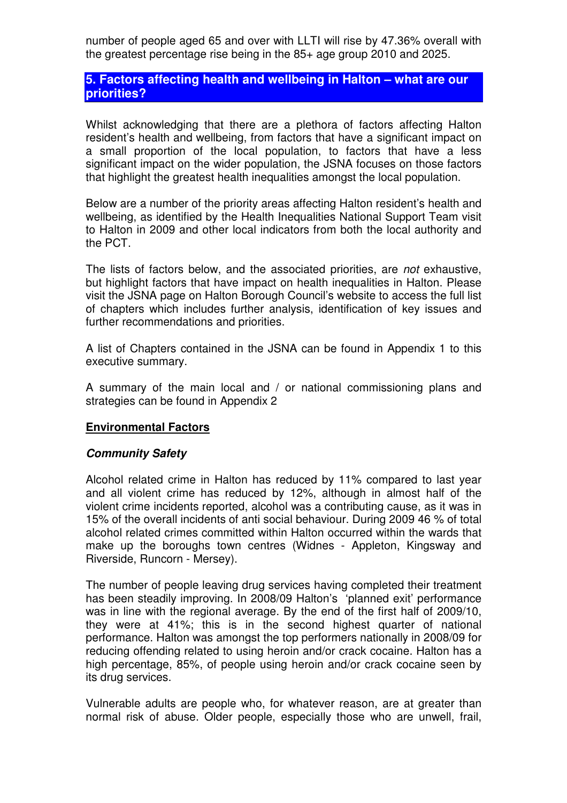number of people aged 65 and over with LLTI will rise by 47.36% overall with the greatest percentage rise being in the 85+ age group 2010 and 2025.

## **5. Factors affecting health and wellbeing in Halton – what are our priorities?**

Whilst acknowledging that there are a plethora of factors affecting Halton resident's health and wellbeing, from factors that have a significant impact on a small proportion of the local population, to factors that have a less significant impact on the wider population, the JSNA focuses on those factors that highlight the greatest health inequalities amongst the local population.

Below are a number of the priority areas affecting Halton resident's health and wellbeing, as identified by the Health Inequalities National Support Team visit to Halton in 2009 and other local indicators from both the local authority and the PCT.

The lists of factors below, and the associated priorities, are not exhaustive, but highlight factors that have impact on health inequalities in Halton. Please visit the JSNA page on Halton Borough Council's website to access the full list of chapters which includes further analysis, identification of key issues and further recommendations and priorities.

A list of Chapters contained in the JSNA can be found in Appendix 1 to this executive summary.

A summary of the main local and / or national commissioning plans and strategies can be found in Appendix 2

#### **Environmental Factors**

#### **Community Safety**

Alcohol related crime in Halton has reduced by 11% compared to last year and all violent crime has reduced by 12%, although in almost half of the violent crime incidents reported, alcohol was a contributing cause, as it was in 15% of the overall incidents of anti social behaviour. During 2009 46 % of total alcohol related crimes committed within Halton occurred within the wards that make up the boroughs town centres (Widnes - Appleton, Kingsway and Riverside, Runcorn - Mersey).

The number of people leaving drug services having completed their treatment has been steadily improving. In 2008/09 Halton's 'planned exit' performance was in line with the regional average. By the end of the first half of 2009/10, they were at 41%; this is in the second highest quarter of national performance. Halton was amongst the top performers nationally in 2008/09 for reducing offending related to using heroin and/or crack cocaine. Halton has a high percentage, 85%, of people using heroin and/or crack cocaine seen by its drug services.

Vulnerable adults are people who, for whatever reason, are at greater than normal risk of abuse. Older people, especially those who are unwell, frail,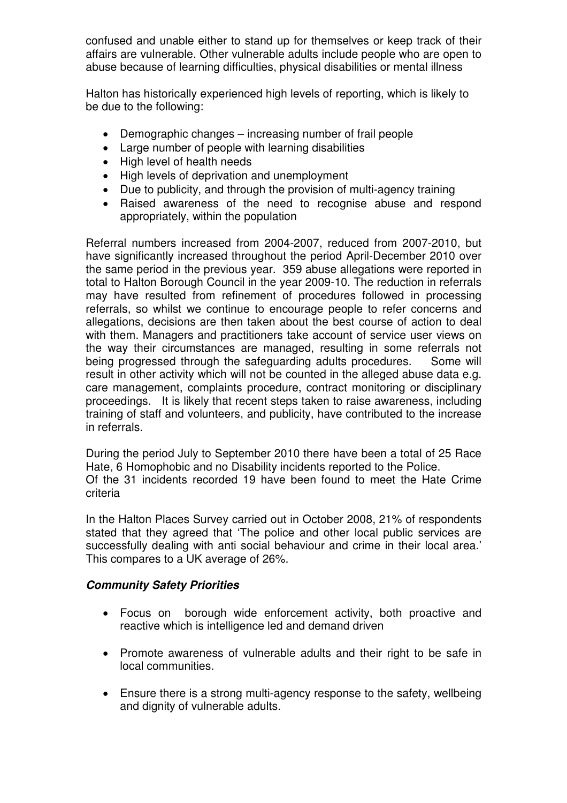confused and unable either to stand up for themselves or keep track of their affairs are vulnerable. Other vulnerable adults include people who are open to abuse because of learning difficulties, physical disabilities or mental illness

Halton has historically experienced high levels of reporting, which is likely to be due to the following:

- Demographic changes increasing number of frail people
- Large number of people with learning disabilities
- High level of health needs
- High levels of deprivation and unemployment
- Due to publicity, and through the provision of multi-agency training
- Raised awareness of the need to recognise abuse and respond appropriately, within the population

Referral numbers increased from 2004-2007, reduced from 2007-2010, but have significantly increased throughout the period April-December 2010 over the same period in the previous year. 359 abuse allegations were reported in total to Halton Borough Council in the year 2009-10. The reduction in referrals may have resulted from refinement of procedures followed in processing referrals, so whilst we continue to encourage people to refer concerns and allegations, decisions are then taken about the best course of action to deal with them. Managers and practitioners take account of service user views on the way their circumstances are managed, resulting in some referrals not being progressed through the safeguarding adults procedures. Some will result in other activity which will not be counted in the alleged abuse data e.g. care management, complaints procedure, contract monitoring or disciplinary proceedings. It is likely that recent steps taken to raise awareness, including training of staff and volunteers, and publicity, have contributed to the increase in referrals.

During the period July to September 2010 there have been a total of 25 Race Hate, 6 Homophobic and no Disability incidents reported to the Police. Of the 31 incidents recorded 19 have been found to meet the Hate Crime criteria

In the Halton Places Survey carried out in October 2008, 21% of respondents stated that they agreed that 'The police and other local public services are successfully dealing with anti social behaviour and crime in their local area.' This compares to a UK average of 26%.

## **Community Safety Priorities**

- Focus on borough wide enforcement activity, both proactive and reactive which is intelligence led and demand driven
- Promote awareness of vulnerable adults and their right to be safe in local communities.
- Ensure there is a strong multi-agency response to the safety, wellbeing and dignity of vulnerable adults.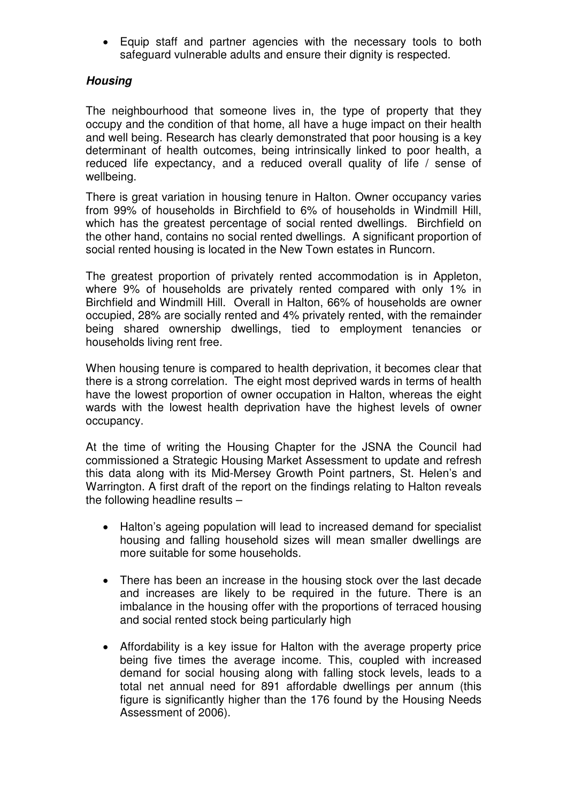• Equip staff and partner agencies with the necessary tools to both safeguard vulnerable adults and ensure their dignity is respected.

## **Housing**

The neighbourhood that someone lives in, the type of property that they occupy and the condition of that home, all have a huge impact on their health and well being. Research has clearly demonstrated that poor housing is a key determinant of health outcomes, being intrinsically linked to poor health, a reduced life expectancy, and a reduced overall quality of life / sense of wellbeing.

There is great variation in housing tenure in Halton. Owner occupancy varies from 99% of households in Birchfield to 6% of households in Windmill Hill, which has the greatest percentage of social rented dwellings. Birchfield on the other hand, contains no social rented dwellings. A significant proportion of social rented housing is located in the New Town estates in Runcorn.

The greatest proportion of privately rented accommodation is in Appleton, where 9% of households are privately rented compared with only 1% in Birchfield and Windmill Hill. Overall in Halton, 66% of households are owner occupied, 28% are socially rented and 4% privately rented, with the remainder being shared ownership dwellings, tied to employment tenancies or households living rent free.

When housing tenure is compared to health deprivation, it becomes clear that there is a strong correlation. The eight most deprived wards in terms of health have the lowest proportion of owner occupation in Halton, whereas the eight wards with the lowest health deprivation have the highest levels of owner occupancy.

At the time of writing the Housing Chapter for the JSNA the Council had commissioned a Strategic Housing Market Assessment to update and refresh this data along with its Mid-Mersey Growth Point partners, St. Helen's and Warrington. A first draft of the report on the findings relating to Halton reveals the following headline results –

- Halton's ageing population will lead to increased demand for specialist housing and falling household sizes will mean smaller dwellings are more suitable for some households.
- There has been an increase in the housing stock over the last decade and increases are likely to be required in the future. There is an imbalance in the housing offer with the proportions of terraced housing and social rented stock being particularly high
- Affordability is a key issue for Halton with the average property price being five times the average income. This, coupled with increased demand for social housing along with falling stock levels, leads to a total net annual need for 891 affordable dwellings per annum (this figure is significantly higher than the 176 found by the Housing Needs Assessment of 2006).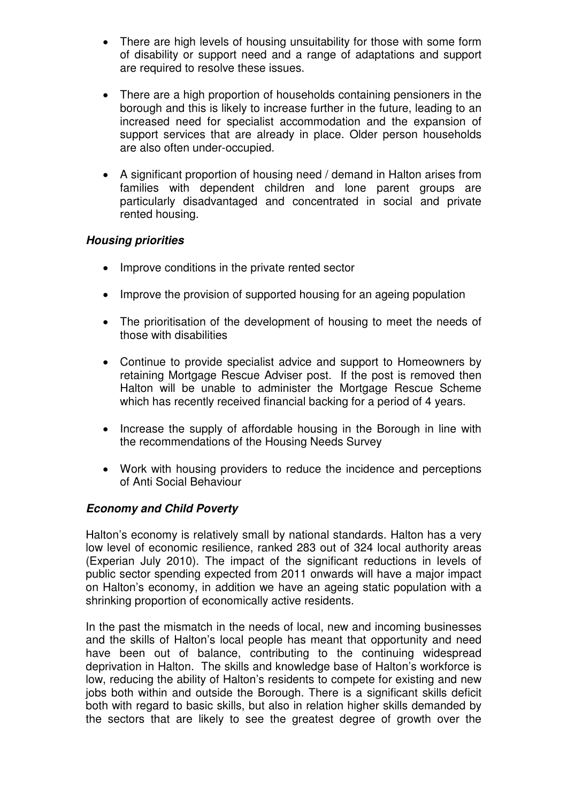- There are high levels of housing unsuitability for those with some form of disability or support need and a range of adaptations and support are required to resolve these issues.
- There are a high proportion of households containing pensioners in the borough and this is likely to increase further in the future, leading to an increased need for specialist accommodation and the expansion of support services that are already in place. Older person households are also often under-occupied.
- A significant proportion of housing need / demand in Halton arises from families with dependent children and lone parent groups are particularly disadvantaged and concentrated in social and private rented housing.

#### **Housing priorities**

- Improve conditions in the private rented sector
- Improve the provision of supported housing for an ageing population
- The prioritisation of the development of housing to meet the needs of those with disabilities
- Continue to provide specialist advice and support to Homeowners by retaining Mortgage Rescue Adviser post. If the post is removed then Halton will be unable to administer the Mortgage Rescue Scheme which has recently received financial backing for a period of 4 years.
- Increase the supply of affordable housing in the Borough in line with the recommendations of the Housing Needs Survey
- Work with housing providers to reduce the incidence and perceptions of Anti Social Behaviour

#### **Economy and Child Poverty**

Halton's economy is relatively small by national standards. Halton has a very low level of economic resilience, ranked 283 out of 324 local authority areas (Experian July 2010). The impact of the significant reductions in levels of public sector spending expected from 2011 onwards will have a major impact on Halton's economy, in addition we have an ageing static population with a shrinking proportion of economically active residents.

In the past the mismatch in the needs of local, new and incoming businesses and the skills of Halton's local people has meant that opportunity and need have been out of balance, contributing to the continuing widespread deprivation in Halton. The skills and knowledge base of Halton's workforce is low, reducing the ability of Halton's residents to compete for existing and new jobs both within and outside the Borough. There is a significant skills deficit both with regard to basic skills, but also in relation higher skills demanded by the sectors that are likely to see the greatest degree of growth over the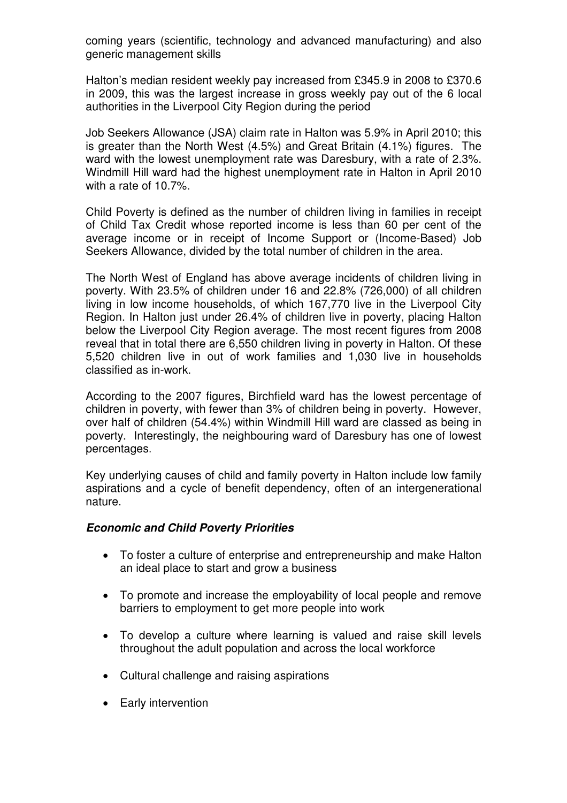coming years (scientific, technology and advanced manufacturing) and also generic management skills

Halton's median resident weekly pay increased from £345.9 in 2008 to £370.6 in 2009, this was the largest increase in gross weekly pay out of the 6 local authorities in the Liverpool City Region during the period

Job Seekers Allowance (JSA) claim rate in Halton was 5.9% in April 2010; this is greater than the North West (4.5%) and Great Britain (4.1%) figures. The ward with the lowest unemployment rate was Daresbury, with a rate of 2.3%. Windmill Hill ward had the highest unemployment rate in Halton in April 2010 with a rate of 10.7%.

Child Poverty is defined as the number of children living in families in receipt of Child Tax Credit whose reported income is less than 60 per cent of the average income or in receipt of Income Support or (Income-Based) Job Seekers Allowance, divided by the total number of children in the area.

The North West of England has above average incidents of children living in poverty. With 23.5% of children under 16 and 22.8% (726,000) of all children living in low income households, of which 167,770 live in the Liverpool City Region. In Halton just under 26.4% of children live in poverty, placing Halton below the Liverpool City Region average. The most recent figures from 2008 reveal that in total there are 6,550 children living in poverty in Halton. Of these 5,520 children live in out of work families and 1,030 live in households classified as in-work.

According to the 2007 figures, Birchfield ward has the lowest percentage of children in poverty, with fewer than 3% of children being in poverty. However, over half of children (54.4%) within Windmill Hill ward are classed as being in poverty. Interestingly, the neighbouring ward of Daresbury has one of lowest percentages.

Key underlying causes of child and family poverty in Halton include low family aspirations and a cycle of benefit dependency, often of an intergenerational nature.

#### **Economic and Child Poverty Priorities**

- To foster a culture of enterprise and entrepreneurship and make Halton an ideal place to start and grow a business
- To promote and increase the employability of local people and remove barriers to employment to get more people into work
- To develop a culture where learning is valued and raise skill levels throughout the adult population and across the local workforce
- Cultural challenge and raising aspirations
- Early intervention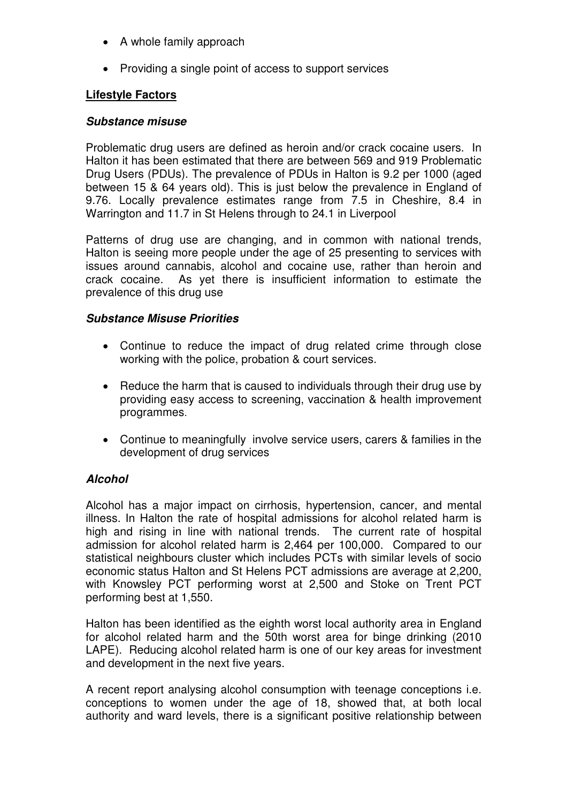- A whole family approach
- Providing a single point of access to support services

## **Lifestyle Factors**

#### **Substance misuse**

Problematic drug users are defined as heroin and/or crack cocaine users. In Halton it has been estimated that there are between 569 and 919 Problematic Drug Users (PDUs). The prevalence of PDUs in Halton is 9.2 per 1000 (aged between 15 & 64 years old). This is just below the prevalence in England of 9.76. Locally prevalence estimates range from 7.5 in Cheshire, 8.4 in Warrington and 11.7 in St Helens through to 24.1 in Liverpool

Patterns of drug use are changing, and in common with national trends, Halton is seeing more people under the age of 25 presenting to services with issues around cannabis, alcohol and cocaine use, rather than heroin and crack cocaine. As yet there is insufficient information to estimate the prevalence of this drug use

#### **Substance Misuse Priorities**

- Continue to reduce the impact of drug related crime through close working with the police, probation & court services.
- Reduce the harm that is caused to individuals through their drug use by providing easy access to screening, vaccination & health improvement programmes.
- Continue to meaningfully involve service users, carers & families in the development of drug services

## **Alcohol**

Alcohol has a major impact on cirrhosis, hypertension, cancer, and mental illness. In Halton the rate of hospital admissions for alcohol related harm is high and rising in line with national trends. The current rate of hospital admission for alcohol related harm is 2,464 per 100,000. Compared to our statistical neighbours cluster which includes PCTs with similar levels of socio economic status Halton and St Helens PCT admissions are average at 2,200, with Knowsley PCT performing worst at 2,500 and Stoke on Trent PCT performing best at 1,550.

Halton has been identified as the eighth worst local authority area in England for alcohol related harm and the 50th worst area for binge drinking (2010 LAPE). Reducing alcohol related harm is one of our key areas for investment and development in the next five years.

A recent report analysing alcohol consumption with teenage conceptions i.e. conceptions to women under the age of 18, showed that, at both local authority and ward levels, there is a significant positive relationship between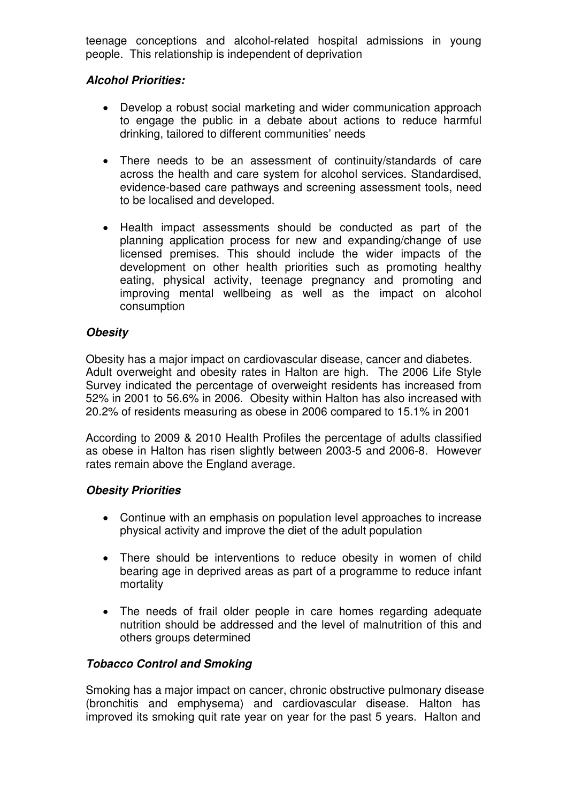teenage conceptions and alcohol-related hospital admissions in young people. This relationship is independent of deprivation

## **Alcohol Priorities:**

- Develop a robust social marketing and wider communication approach to engage the public in a debate about actions to reduce harmful drinking, tailored to different communities' needs
- There needs to be an assessment of continuity/standards of care across the health and care system for alcohol services. Standardised, evidence-based care pathways and screening assessment tools, need to be localised and developed.
- Health impact assessments should be conducted as part of the planning application process for new and expanding/change of use licensed premises. This should include the wider impacts of the development on other health priorities such as promoting healthy eating, physical activity, teenage pregnancy and promoting and improving mental wellbeing as well as the impact on alcohol consumption

## **Obesity**

Obesity has a major impact on cardiovascular disease, cancer and diabetes. Adult overweight and obesity rates in Halton are high. The 2006 Life Style Survey indicated the percentage of overweight residents has increased from 52% in 2001 to 56.6% in 2006. Obesity within Halton has also increased with 20.2% of residents measuring as obese in 2006 compared to 15.1% in 2001

According to 2009 & 2010 Health Profiles the percentage of adults classified as obese in Halton has risen slightly between 2003-5 and 2006-8. However rates remain above the England average.

## **Obesity Priorities**

- Continue with an emphasis on population level approaches to increase physical activity and improve the diet of the adult population
- There should be interventions to reduce obesity in women of child bearing age in deprived areas as part of a programme to reduce infant mortality
- The needs of frail older people in care homes regarding adequate nutrition should be addressed and the level of malnutrition of this and others groups determined

# **Tobacco Control and Smoking**

Smoking has a major impact on cancer, chronic obstructive pulmonary disease (bronchitis and emphysema) and cardiovascular disease. Halton has improved its smoking quit rate year on year for the past 5 years. Halton and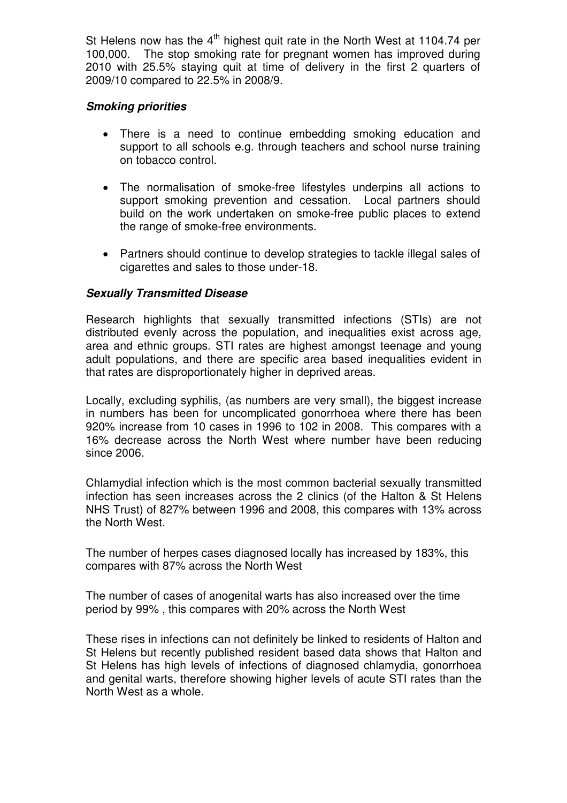St Helens now has the  $4<sup>th</sup>$  highest quit rate in the North West at 1104.74 per 100,000. The stop smoking rate for pregnant women has improved during 2010 with 25.5% staying quit at time of delivery in the first 2 quarters of 2009/10 compared to 22.5% in 2008/9.

#### **Smoking priorities**

- There is a need to continue embedding smoking education and support to all schools e.g. through teachers and school nurse training on tobacco control.
- The normalisation of smoke-free lifestyles underpins all actions to support smoking prevention and cessation. Local partners should build on the work undertaken on smoke-free public places to extend the range of smoke-free environments.
- Partners should continue to develop strategies to tackle illegal sales of cigarettes and sales to those under-18.

## **Sexually Transmitted Disease**

Research highlights that sexually transmitted infections (STIs) are not distributed evenly across the population, and inequalities exist across age, area and ethnic groups. STI rates are highest amongst teenage and young adult populations, and there are specific area based inequalities evident in that rates are disproportionately higher in deprived areas.

Locally, excluding syphilis, (as numbers are very small), the biggest increase in numbers has been for uncomplicated gonorrhoea where there has been 920% increase from 10 cases in 1996 to 102 in 2008. This compares with a 16% decrease across the North West where number have been reducing since 2006.

Chlamydial infection which is the most common bacterial sexually transmitted infection has seen increases across the 2 clinics (of the Halton & St Helens NHS Trust) of 827% between 1996 and 2008, this compares with 13% across the North West.

The number of herpes cases diagnosed locally has increased by 183%, this compares with 87% across the North West

The number of cases of anogenital warts has also increased over the time period by 99% , this compares with 20% across the North West

These rises in infections can not definitely be linked to residents of Halton and St Helens but recently published resident based data shows that Halton and St Helens has high levels of infections of diagnosed chlamydia, gonorrhoea and genital warts, therefore showing higher levels of acute STI rates than the North West as a whole.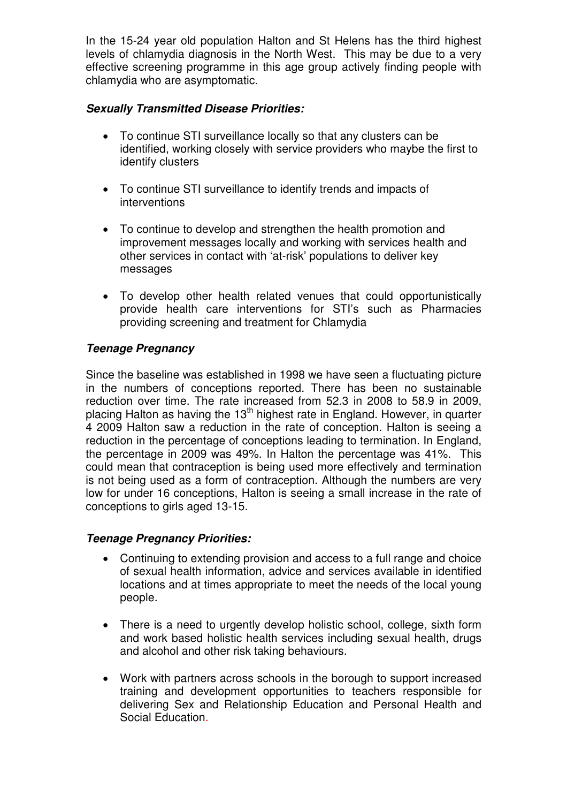In the 15-24 year old population Halton and St Helens has the third highest levels of chlamydia diagnosis in the North West. This may be due to a very effective screening programme in this age group actively finding people with chlamydia who are asymptomatic.

## **Sexually Transmitted Disease Priorities:**

- To continue STI surveillance locally so that any clusters can be identified, working closely with service providers who maybe the first to identify clusters
- To continue STI surveillance to identify trends and impacts of interventions
- To continue to develop and strengthen the health promotion and improvement messages locally and working with services health and other services in contact with 'at-risk' populations to deliver key messages
- To develop other health related venues that could opportunistically provide health care interventions for STI's such as Pharmacies providing screening and treatment for Chlamydia

## **Teenage Pregnancy**

Since the baseline was established in 1998 we have seen a fluctuating picture in the numbers of conceptions reported. There has been no sustainable reduction over time. The rate increased from 52.3 in 2008 to 58.9 in 2009, placing Halton as having the  $13<sup>th</sup>$  highest rate in England. However, in quarter 4 2009 Halton saw a reduction in the rate of conception. Halton is seeing a reduction in the percentage of conceptions leading to termination. In England, the percentage in 2009 was 49%. In Halton the percentage was 41%. This could mean that contraception is being used more effectively and termination is not being used as a form of contraception. Although the numbers are very low for under 16 conceptions, Halton is seeing a small increase in the rate of conceptions to girls aged 13-15.

## **Teenage Pregnancy Priorities:**

- Continuing to extending provision and access to a full range and choice of sexual health information, advice and services available in identified locations and at times appropriate to meet the needs of the local young people.
- There is a need to urgently develop holistic school, college, sixth form and work based holistic health services including sexual health, drugs and alcohol and other risk taking behaviours.
- Work with partners across schools in the borough to support increased training and development opportunities to teachers responsible for delivering Sex and Relationship Education and Personal Health and Social Education.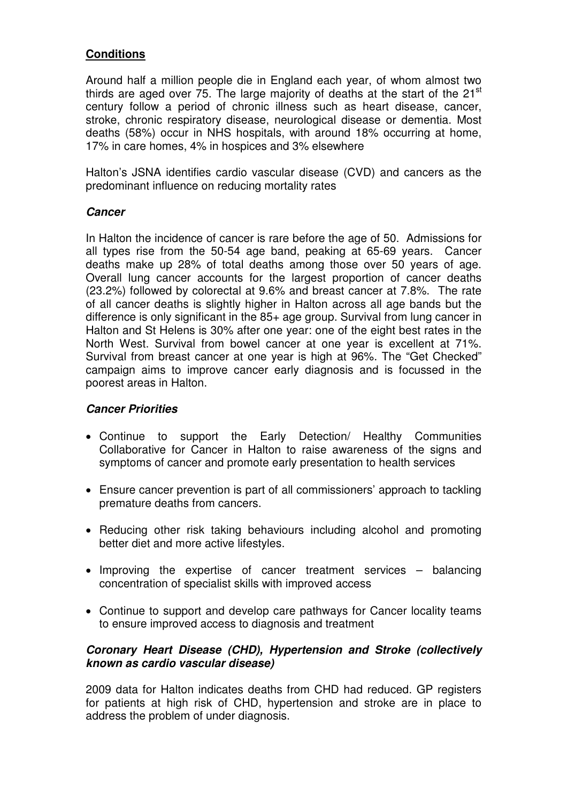## **Conditions**

Around half a million people die in England each year, of whom almost two thirds are aged over 75. The large majority of deaths at the start of the  $21<sup>st</sup>$ century follow a period of chronic illness such as heart disease, cancer, stroke, chronic respiratory disease, neurological disease or dementia. Most deaths (58%) occur in NHS hospitals, with around 18% occurring at home, 17% in care homes, 4% in hospices and 3% elsewhere

Halton's JSNA identifies cardio vascular disease (CVD) and cancers as the predominant influence on reducing mortality rates

#### **Cancer**

In Halton the incidence of cancer is rare before the age of 50. Admissions for all types rise from the 50-54 age band, peaking at 65-69 years. Cancer deaths make up 28% of total deaths among those over 50 years of age. Overall lung cancer accounts for the largest proportion of cancer deaths (23.2%) followed by colorectal at 9.6% and breast cancer at 7.8%. The rate of all cancer deaths is slightly higher in Halton across all age bands but the difference is only significant in the 85+ age group. Survival from lung cancer in Halton and St Helens is 30% after one year: one of the eight best rates in the North West. Survival from bowel cancer at one year is excellent at 71%. Survival from breast cancer at one year is high at 96%. The "Get Checked" campaign aims to improve cancer early diagnosis and is focussed in the poorest areas in Halton.

#### **Cancer Priorities**

- Continue to support the Early Detection/ Healthy Communities Collaborative for Cancer in Halton to raise awareness of the signs and symptoms of cancer and promote early presentation to health services
- Ensure cancer prevention is part of all commissioners' approach to tackling premature deaths from cancers.
- Reducing other risk taking behaviours including alcohol and promoting better diet and more active lifestyles.
- Improving the expertise of cancer treatment services balancing concentration of specialist skills with improved access
- Continue to support and develop care pathways for Cancer locality teams to ensure improved access to diagnosis and treatment

#### **Coronary Heart Disease (CHD), Hypertension and Stroke (collectively known as cardio vascular disease)**

2009 data for Halton indicates deaths from CHD had reduced. GP registers for patients at high risk of CHD, hypertension and stroke are in place to address the problem of under diagnosis.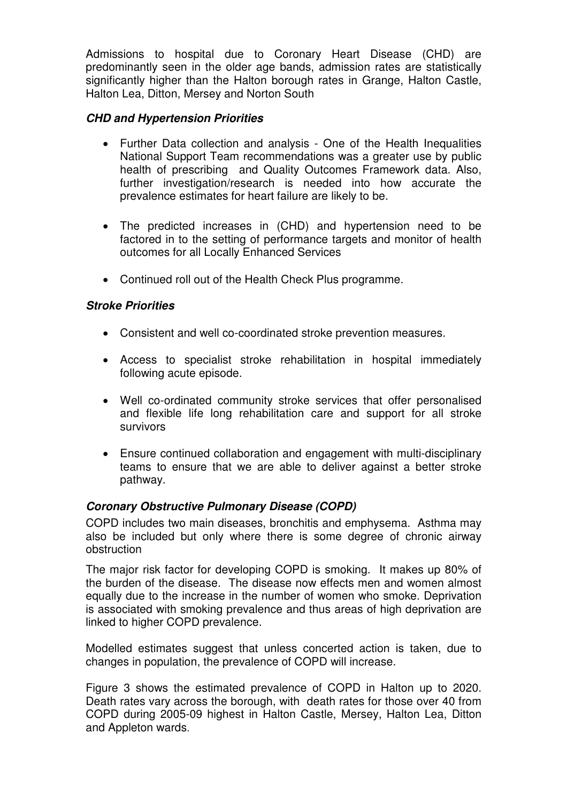Admissions to hospital due to Coronary Heart Disease (CHD) are predominantly seen in the older age bands, admission rates are statistically significantly higher than the Halton borough rates in Grange, Halton Castle, Halton Lea, Ditton, Mersey and Norton South

#### **CHD and Hypertension Priorities**

- Further Data collection and analysis One of the Health Inequalities National Support Team recommendations was a greater use by public health of prescribing and Quality Outcomes Framework data. Also, further investigation/research is needed into how accurate the prevalence estimates for heart failure are likely to be.
- The predicted increases in (CHD) and hypertension need to be factored in to the setting of performance targets and monitor of health outcomes for all Locally Enhanced Services
- Continued roll out of the Health Check Plus programme.

#### **Stroke Priorities**

- Consistent and well co-coordinated stroke prevention measures.
- Access to specialist stroke rehabilitation in hospital immediately following acute episode.
- Well co-ordinated community stroke services that offer personalised and flexible life long rehabilitation care and support for all stroke survivors
- Ensure continued collaboration and engagement with multi-disciplinary teams to ensure that we are able to deliver against a better stroke pathway.

## **Coronary Obstructive Pulmonary Disease (COPD)**

COPD includes two main diseases, bronchitis and emphysema. Asthma may also be included but only where there is some degree of chronic airway obstruction

The major risk factor for developing COPD is smoking. It makes up 80% of the burden of the disease. The disease now effects men and women almost equally due to the increase in the number of women who smoke. Deprivation is associated with smoking prevalence and thus areas of high deprivation are linked to higher COPD prevalence.

Modelled estimates suggest that unless concerted action is taken, due to changes in population, the prevalence of COPD will increase.

Figure 3 shows the estimated prevalence of COPD in Halton up to 2020. Death rates vary across the borough, with death rates for those over 40 from COPD during 2005-09 highest in Halton Castle, Mersey, Halton Lea, Ditton and Appleton wards.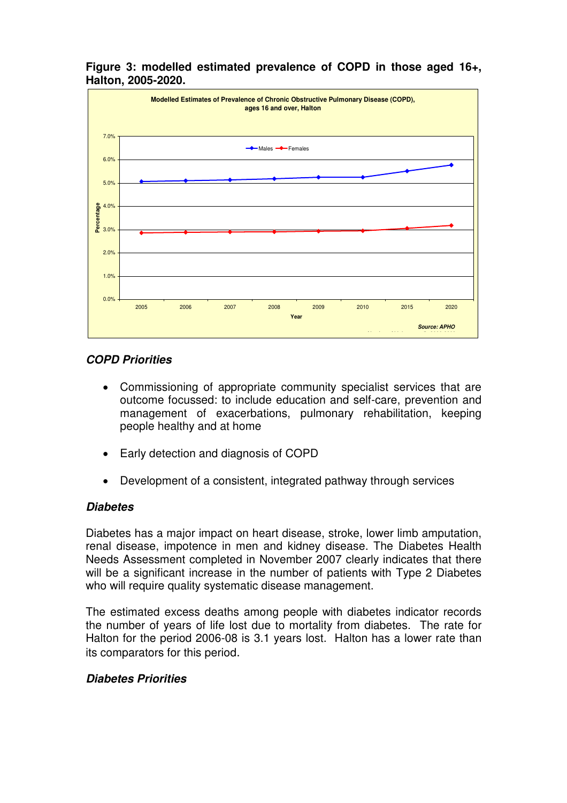

#### **Figure 3: modelled estimated prevalence of COPD in those aged 16+, Halton, 2005-2020.**

## **COPD Priorities**

- Commissioning of appropriate community specialist services that are outcome focussed: to include education and self-care, prevention and management of exacerbations, pulmonary rehabilitation, keeping people healthy and at home
- Early detection and diagnosis of COPD
- Development of a consistent, integrated pathway through services

## **Diabetes**

Diabetes has a major impact on heart disease, stroke, lower limb amputation, renal disease, impotence in men and kidney disease. The Diabetes Health Needs Assessment completed in November 2007 clearly indicates that there will be a significant increase in the number of patients with Type 2 Diabetes who will require quality systematic disease management.

The estimated excess deaths among people with diabetes indicator records the number of years of life lost due to mortality from diabetes. The rate for Halton for the period 2006-08 is 3.1 years lost. Halton has a lower rate than its comparators for this period.

## **Diabetes Priorities**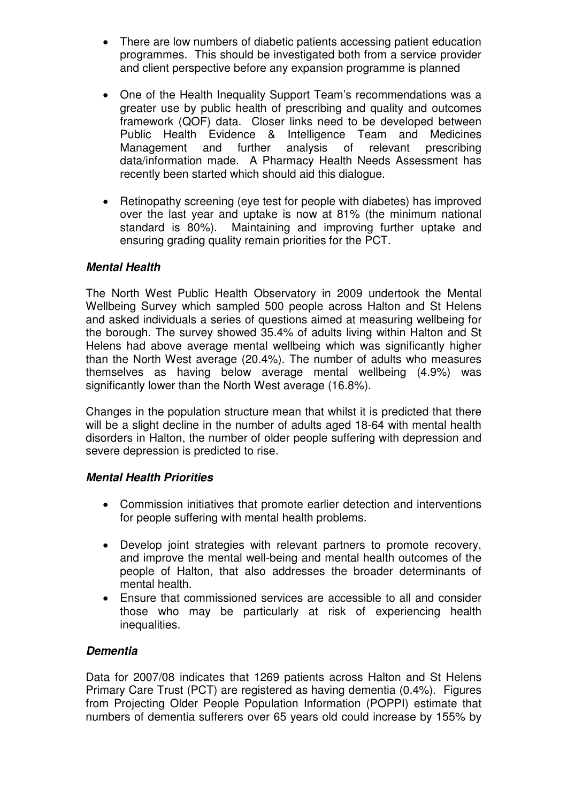- There are low numbers of diabetic patients accessing patient education programmes. This should be investigated both from a service provider and client perspective before any expansion programme is planned
- One of the Health Inequality Support Team's recommendations was a greater use by public health of prescribing and quality and outcomes framework (QOF) data. Closer links need to be developed between Public Health Evidence & Intelligence Team and Medicines Management and further analysis of relevant prescribing data/information made. A Pharmacy Health Needs Assessment has recently been started which should aid this dialogue.
- Retinopathy screening (eye test for people with diabetes) has improved over the last year and uptake is now at 81% (the minimum national standard is 80%). Maintaining and improving further uptake and ensuring grading quality remain priorities for the PCT.

## **Mental Health**

The North West Public Health Observatory in 2009 undertook the Mental Wellbeing Survey which sampled 500 people across Halton and St Helens and asked individuals a series of questions aimed at measuring wellbeing for the borough. The survey showed 35.4% of adults living within Halton and St Helens had above average mental wellbeing which was significantly higher than the North West average (20.4%). The number of adults who measures themselves as having below average mental wellbeing (4.9%) was significantly lower than the North West average (16.8%).

Changes in the population structure mean that whilst it is predicted that there will be a slight decline in the number of adults aged 18-64 with mental health disorders in Halton, the number of older people suffering with depression and severe depression is predicted to rise.

#### **Mental Health Priorities**

- Commission initiatives that promote earlier detection and interventions for people suffering with mental health problems.
- Develop joint strategies with relevant partners to promote recovery, and improve the mental well-being and mental health outcomes of the people of Halton, that also addresses the broader determinants of mental health.
- Ensure that commissioned services are accessible to all and consider those who may be particularly at risk of experiencing health inequalities.

## **Dementia**

Data for 2007/08 indicates that 1269 patients across Halton and St Helens Primary Care Trust (PCT) are registered as having dementia (0.4%). Figures from Projecting Older People Population Information (POPPI) estimate that numbers of dementia sufferers over 65 years old could increase by 155% by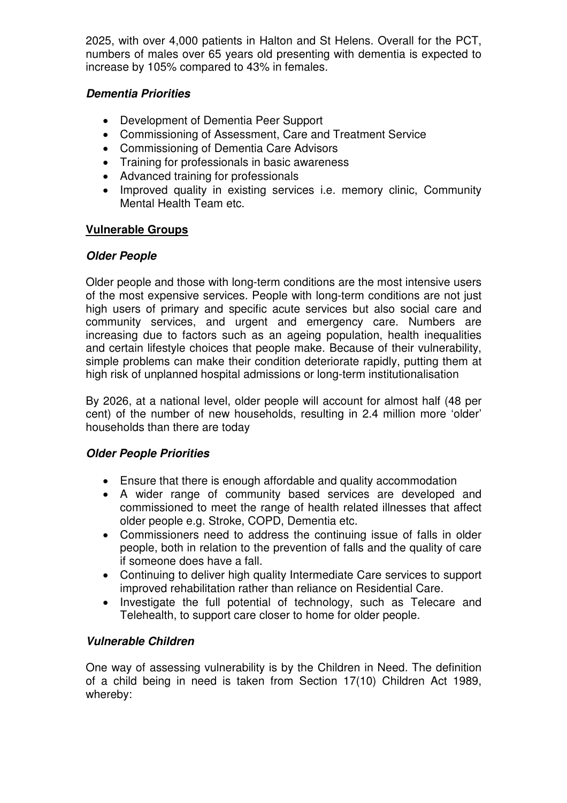2025, with over 4,000 patients in Halton and St Helens. Overall for the PCT, numbers of males over 65 years old presenting with dementia is expected to increase by 105% compared to 43% in females.

## **Dementia Priorities**

- Development of Dementia Peer Support
- Commissioning of Assessment, Care and Treatment Service
- Commissioning of Dementia Care Advisors
- Training for professionals in basic awareness
- Advanced training for professionals
- Improved quality in existing services i.e. memory clinic, Community Mental Health Team etc.

## **Vulnerable Groups**

## **Older People**

Older people and those with long-term conditions are the most intensive users of the most expensive services. People with long-term conditions are not just high users of primary and specific acute services but also social care and community services, and urgent and emergency care. Numbers are increasing due to factors such as an ageing population, health inequalities and certain lifestyle choices that people make. Because of their vulnerability, simple problems can make their condition deteriorate rapidly, putting them at high risk of unplanned hospital admissions or long-term institutionalisation

By 2026, at a national level, older people will account for almost half (48 per cent) of the number of new households, resulting in 2.4 million more 'older' households than there are today

## **Older People Priorities**

- Ensure that there is enough affordable and quality accommodation
- A wider range of community based services are developed and commissioned to meet the range of health related illnesses that affect older people e.g. Stroke, COPD, Dementia etc.
- Commissioners need to address the continuing issue of falls in older people, both in relation to the prevention of falls and the quality of care if someone does have a fall.
- Continuing to deliver high quality Intermediate Care services to support improved rehabilitation rather than reliance on Residential Care.
- Investigate the full potential of technology, such as Telecare and Telehealth, to support care closer to home for older people.

## **Vulnerable Children**

One way of assessing vulnerability is by the Children in Need. The definition of a child being in need is taken from Section 17(10) Children Act 1989, whereby: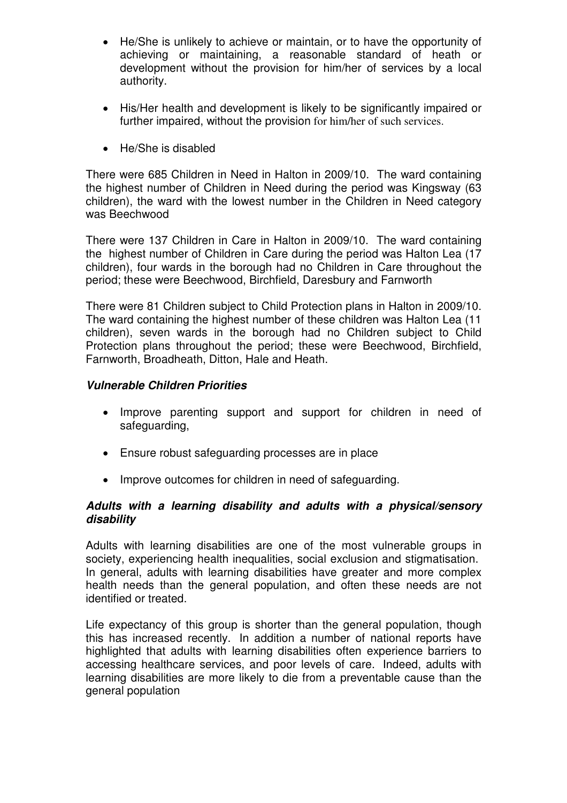- He/She is unlikely to achieve or maintain, or to have the opportunity of achieving or maintaining, a reasonable standard of heath or development without the provision for him/her of services by a local authority.
- His/Her health and development is likely to be significantly impaired or further impaired, without the provision for him/her of such services.
- He/She is disabled

There were 685 Children in Need in Halton in 2009/10. The ward containing the highest number of Children in Need during the period was Kingsway (63 children), the ward with the lowest number in the Children in Need category was Beechwood

There were 137 Children in Care in Halton in 2009/10. The ward containing the highest number of Children in Care during the period was Halton Lea (17 children), four wards in the borough had no Children in Care throughout the period; these were Beechwood, Birchfield, Daresbury and Farnworth

There were 81 Children subject to Child Protection plans in Halton in 2009/10. The ward containing the highest number of these children was Halton Lea (11 children), seven wards in the borough had no Children subject to Child Protection plans throughout the period; these were Beechwood, Birchfield, Farnworth, Broadheath, Ditton, Hale and Heath.

#### **Vulnerable Children Priorities**

- Improve parenting support and support for children in need of safeguarding,
- Ensure robust safeguarding processes are in place
- Improve outcomes for children in need of safeguarding.

#### **Adults with a learning disability and adults with a physical/sensory disability**

Adults with learning disabilities are one of the most vulnerable groups in society, experiencing health inequalities, social exclusion and stigmatisation. In general, adults with learning disabilities have greater and more complex health needs than the general population, and often these needs are not identified or treated.

Life expectancy of this group is shorter than the general population, though this has increased recently. In addition a number of national reports have highlighted that adults with learning disabilities often experience barriers to accessing healthcare services, and poor levels of care. Indeed, adults with learning disabilities are more likely to die from a preventable cause than the general population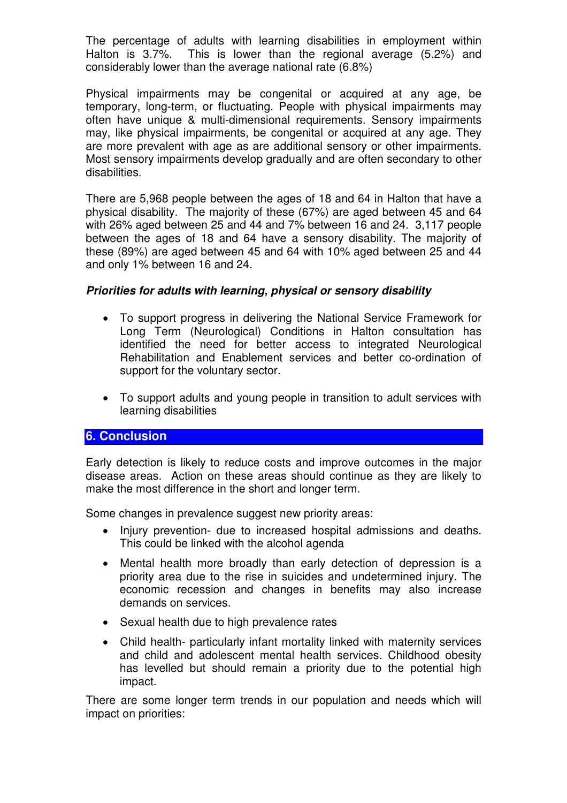The percentage of adults with learning disabilities in employment within Halton is 3.7%. This is lower than the regional average (5.2%) and considerably lower than the average national rate (6.8%)

Physical impairments may be congenital or acquired at any age, be temporary, long-term, or fluctuating. People with physical impairments may often have unique & multi-dimensional requirements. Sensory impairments may, like physical impairments, be congenital or acquired at any age. They are more prevalent with age as are additional sensory or other impairments. Most sensory impairments develop gradually and are often secondary to other disabilities.

There are 5,968 people between the ages of 18 and 64 in Halton that have a physical disability. The majority of these (67%) are aged between 45 and 64 with 26% aged between 25 and 44 and 7% between 16 and 24. 3,117 people between the ages of 18 and 64 have a sensory disability. The majority of these (89%) are aged between 45 and 64 with 10% aged between 25 and 44 and only 1% between 16 and 24.

#### **Priorities for adults with learning, physical or sensory disability**

- To support progress in delivering the National Service Framework for Long Term (Neurological) Conditions in Halton consultation has identified the need for better access to integrated Neurological Rehabilitation and Enablement services and better co-ordination of support for the voluntary sector.
- To support adults and young people in transition to adult services with learning disabilities

## **6. Conclusion**

Early detection is likely to reduce costs and improve outcomes in the major disease areas. Action on these areas should continue as they are likely to make the most difference in the short and longer term.

Some changes in prevalence suggest new priority areas:

- Injury prevention- due to increased hospital admissions and deaths. This could be linked with the alcohol agenda
- Mental health more broadly than early detection of depression is a priority area due to the rise in suicides and undetermined injury. The economic recession and changes in benefits may also increase demands on services.
- Sexual health due to high prevalence rates
- Child health- particularly infant mortality linked with maternity services and child and adolescent mental health services. Childhood obesity has levelled but should remain a priority due to the potential high impact.

There are some longer term trends in our population and needs which will impact on priorities: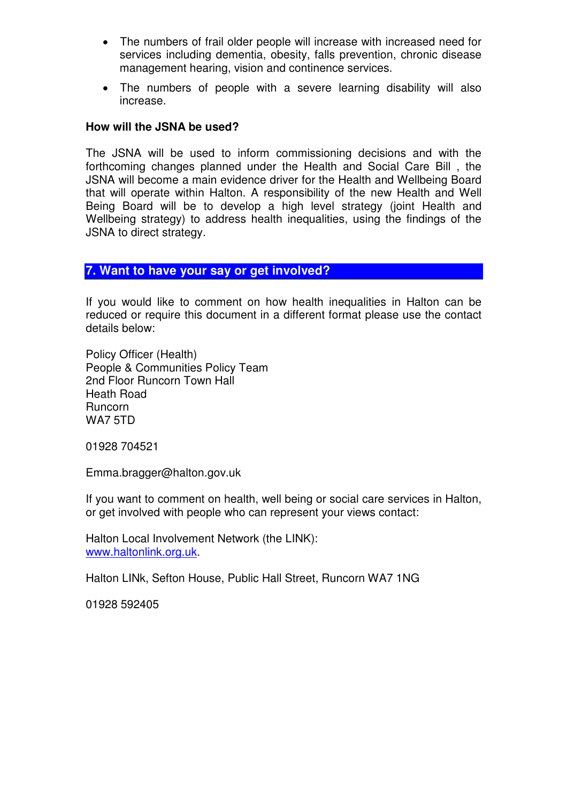- The numbers of frail older people will increase with increased need for services including dementia, obesity, falls prevention, chronic disease management hearing, vision and continence services.
- The numbers of people with a severe learning disability will also increase.

#### **How will the JSNA be used?**

The JSNA will be used to inform commissioning decisions and with the forthcoming changes planned under the Health and Social Care Bill , the JSNA will become a main evidence driver for the Health and Wellbeing Board that will operate within Halton. A responsibility of the new Health and Well Being Board will be to develop a high level strategy (joint Health and Wellbeing strategy) to address health inequalities, using the findings of the JSNA to direct strategy.

#### **7. Want to have your say or get involved?**

If you would like to comment on how health inequalities in Halton can be reduced or require this document in a different format please use the contact details below:

Policy Officer (Health) People & Communities Policy Team 2nd Floor Runcorn Town Hall Heath Road Runcorn WA7 5TD

01928 704521

Emma.bragger@halton.gov.uk

If you want to comment on health, well being or social care services in Halton, or get involved with people who can represent your views contact:

Halton Local Involvement Network (the LINK): www.haltonlink.org.uk.

Halton LINk, Sefton House, Public Hall Street, Runcorn WA7 1NG

01928 592405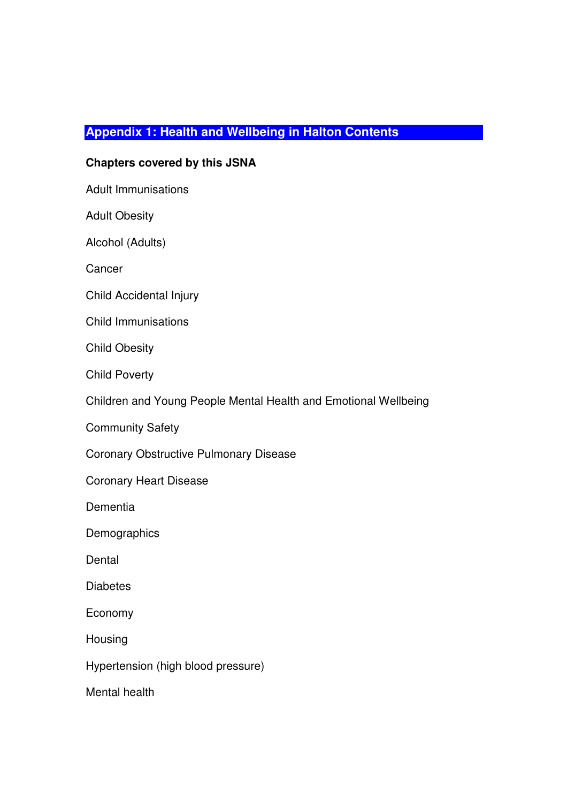## **Appendix 1: Health and Wellbeing in Halton Contents**

#### **Chapters covered by this JSNA**

Adult Immunisations

Adult Obesity

Alcohol (Adults)

**Cancer** 

Child Accidental Injury

Child Immunisations

Child Obesity

Child Poverty

Children and Young People Mental Health and Emotional Wellbeing

Community Safety

Coronary Obstructive Pulmonary Disease

Coronary Heart Disease

Dementia

**Demographics** 

**Dental** 

**Diabetes** 

Economy

Housing

Hypertension (high blood pressure)

Mental health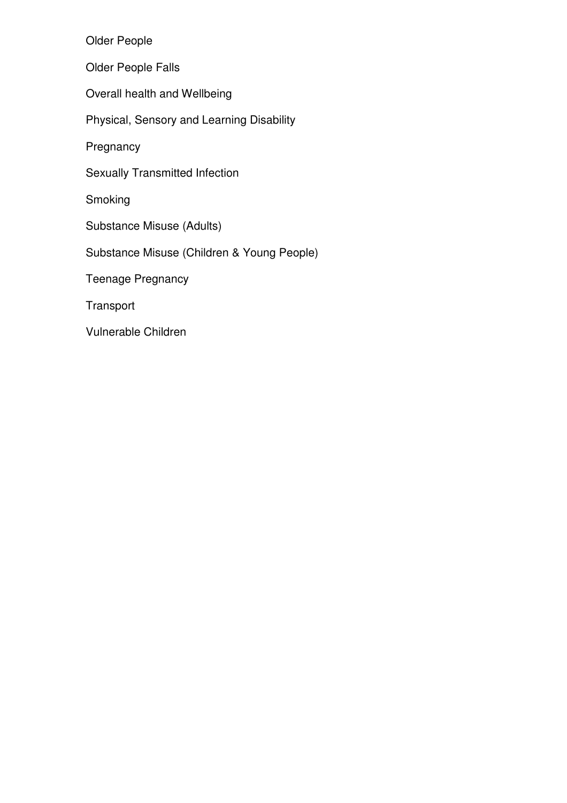Older People

Older People Falls

Overall health and Wellbeing

Physical, Sensory and Learning Disability

**Pregnancy** 

Sexually Transmitted Infection

Smoking

Substance Misuse (Adults)

Substance Misuse (Children & Young People)

Teenage Pregnancy

**Transport** 

Vulnerable Children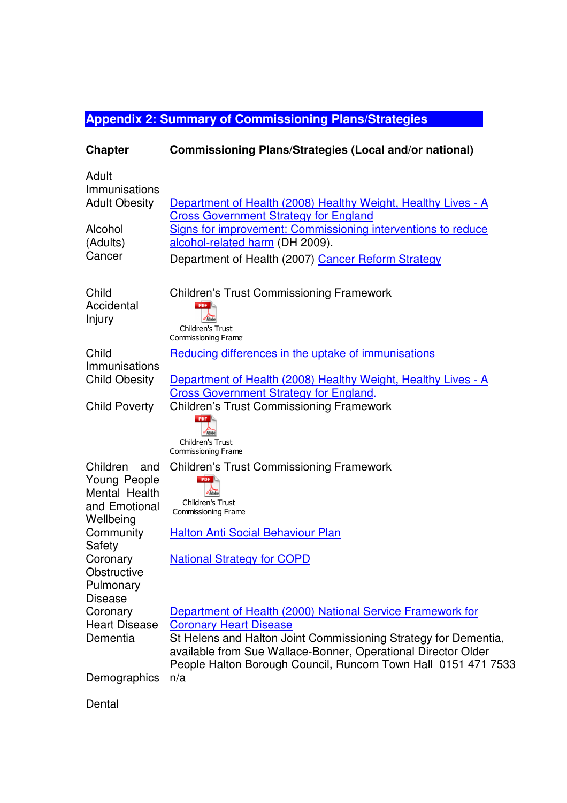# **Appendix 2: Summary of Commissioning Plans/Strategies**

| <b>Chapter</b>                                                                 | Commissioning Plans/Strategies (Local and/or national)                                                                                                                                                                                                                                            |
|--------------------------------------------------------------------------------|---------------------------------------------------------------------------------------------------------------------------------------------------------------------------------------------------------------------------------------------------------------------------------------------------|
| Adult<br>Immunisations<br><b>Adult Obesity</b>                                 | Department of Health (2008) Healthy Weight, Healthy Lives - A<br><b>Cross Government Strategy for England</b>                                                                                                                                                                                     |
| Alcohol<br>(Adults)<br>Cancer                                                  | Signs for improvement: Commissioning interventions to reduce<br>alcohol-related harm (DH 2009).<br>Department of Health (2007) Cancer Reform Strategy                                                                                                                                             |
| Child<br>Accidental<br>Injury                                                  | <b>Children's Trust Commissioning Framework</b><br><b>PDF</b><br>Adobe<br>Children's Trust<br><b>Commissioning Frame</b>                                                                                                                                                                          |
| Child<br>Immunisations<br><b>Child Obesity</b>                                 | Reducing differences in the uptake of immunisations<br>Department of Health (2008) Healthy Weight, Healthy Lives - A<br><b>Cross Government Strategy for England.</b>                                                                                                                             |
| <b>Child Poverty</b>                                                           | <b>Children's Trust Commissioning Framework</b><br>Children's Trust<br><b>Commissioning Frame</b>                                                                                                                                                                                                 |
| Children<br>and<br>Young People<br>Mental Health<br>and Emotional<br>Wellbeing | <b>Children's Trust Commissioning Framework</b><br><b>PDF</b><br>Children's Trust<br>Commissioning Frame                                                                                                                                                                                          |
| Community<br>Safety<br>Coronary<br>Obstructive<br>Pulmonary                    | <b>Halton Anti Social Behaviour Plan</b><br><b>National Strategy for COPD</b>                                                                                                                                                                                                                     |
| <b>Disease</b><br>Coronary<br><b>Heart Disease</b><br>Dementia                 | Department of Health (2000) National Service Framework for<br><b>Coronary Heart Disease</b><br>St Helens and Halton Joint Commissioning Strategy for Dementia,<br>available from Sue Wallace-Bonner, Operational Director Older<br>People Halton Borough Council, Runcorn Town Hall 0151 471 7533 |
| Demographics                                                                   | n/a                                                                                                                                                                                                                                                                                               |
| Dental                                                                         |                                                                                                                                                                                                                                                                                                   |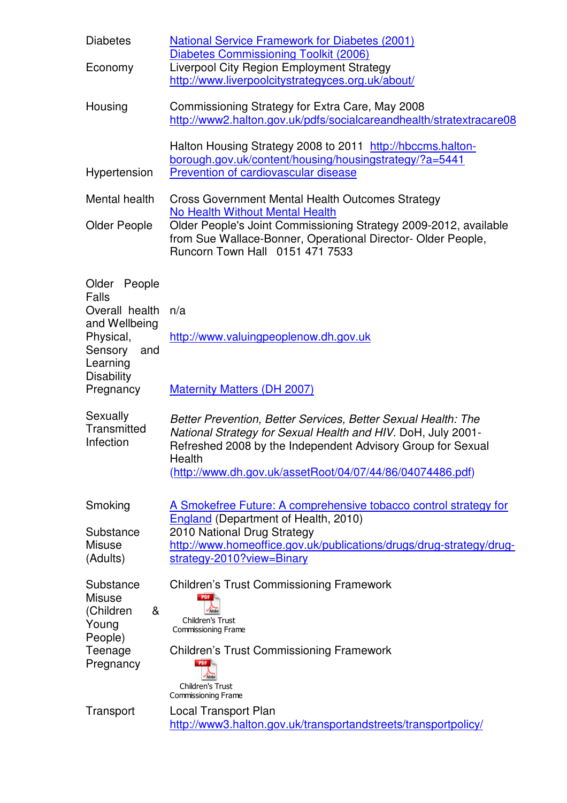| <b>Diabetes</b>                                                                                     | <b>National Service Framework for Diabetes (2001)</b><br><b>Diabetes Commissioning Toolkit (2006)</b>                                                                                                                                                               |  |  |
|-----------------------------------------------------------------------------------------------------|---------------------------------------------------------------------------------------------------------------------------------------------------------------------------------------------------------------------------------------------------------------------|--|--|
| Economy                                                                                             | Liverpool City Region Employment Strategy<br>http://www.liverpoolcitystrategyces.org.uk/about/                                                                                                                                                                      |  |  |
| Housing                                                                                             | Commissioning Strategy for Extra Care, May 2008<br>http://www2.halton.gov.uk/pdfs/socialcareandhealth/stratextracare08                                                                                                                                              |  |  |
| Hypertension                                                                                        | Halton Housing Strategy 2008 to 2011 http://hbccms.halton-<br>borough.gov.uk/content/housing/housingstrategy/?a=5441<br>Prevention of cardiovascular disease                                                                                                        |  |  |
| Mental health                                                                                       | <b>Cross Government Mental Health Outcomes Strategy</b>                                                                                                                                                                                                             |  |  |
| <b>Older People</b>                                                                                 | <b>No Health Without Mental Health</b><br>Older People's Joint Commissioning Strategy 2009-2012, available<br>from Sue Wallace-Bonner, Operational Director- Older People,<br>Runcorn Town Hall 0151 471 7533                                                       |  |  |
| Older People<br>Falls<br>Overall health<br>and Wellbeing<br>Physical,<br>Sensory<br>and<br>Learning | n/a<br>http://www.valuingpeoplenow.dh.gov.uk                                                                                                                                                                                                                        |  |  |
| <b>Disability</b><br>Pregnancy                                                                      | <b>Maternity Matters (DH 2007)</b>                                                                                                                                                                                                                                  |  |  |
| Sexually<br>Transmitted<br>Infection                                                                | Better Prevention, Better Services, Better Sexual Health: The<br>National Strategy for Sexual Health and HIV. DoH, July 2001-<br>Refreshed 2008 by the Independent Advisory Group for Sexual<br>Health<br>(http://www.dh.gov.uk/assetRoot/04/07/44/86/04074486.pdf) |  |  |
| Smoking                                                                                             | A Smokefree Future: A comprehensive tobacco control strategy for<br><b>England</b> (Department of Health, 2010)                                                                                                                                                     |  |  |
| Substance<br><b>Misuse</b><br>(Adults)                                                              | 2010 National Drug Strategy<br>http://www.homeoffice.gov.uk/publications/drugs/drug-strategy/drug-<br>strategy-2010?view=Binary                                                                                                                                     |  |  |
| Substance<br><b>Misuse</b><br>(Children<br>&<br>Young<br>People)                                    | <b>Children's Trust Commissioning Framework</b><br>PDF.<br>Children's Trust<br>Commissioning Frame                                                                                                                                                                  |  |  |
| Teenage<br>Pregnancy                                                                                | <b>Children's Trust Commissioning Framework</b><br>Children's Trust<br><b>Commissioning Frame</b>                                                                                                                                                                   |  |  |
| Transport                                                                                           | Local Transport Plan<br>http://www3.halton.gov.uk/transportandstreets/transportpolicy/                                                                                                                                                                              |  |  |